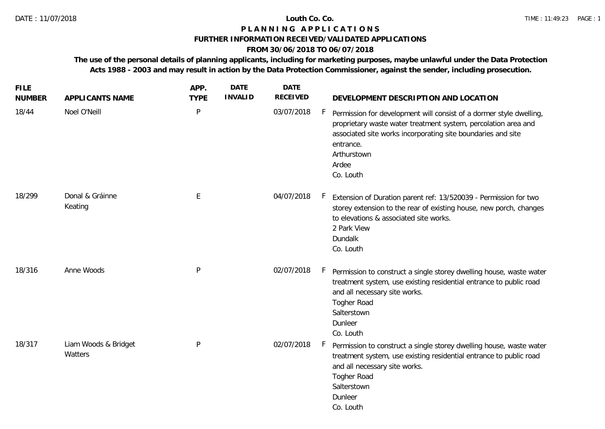# **P L A N N I N G A P P L I C A T I O N S**

### **FURTHER INFORMATION RECEIVED/VALIDATED APPLICATIONS**

# **FROM 30/06/2018 TO 06/07/2018**

**The use of the personal details of planning applicants, including for marketing purposes, maybe unlawful under the Data Protection Acts 1988 - 2003 and may result in action by the Data Protection Commissioner, against the sender, including prosecution.**

| <b>FILE</b><br><b>NUMBER</b> | APPLICANTS NAME                 | APP.<br><b>TYPE</b> | <b>DATE</b><br><b>INVALID</b> | DATE<br><b>RECEIVED</b> | DEVELOPMENT DESCRIPTION AND LOCATION                                                                                                                                                                                                                                |
|------------------------------|---------------------------------|---------------------|-------------------------------|-------------------------|---------------------------------------------------------------------------------------------------------------------------------------------------------------------------------------------------------------------------------------------------------------------|
| 18/44                        | Noel O'Neill                    | P                   |                               | 03/07/2018              | $\vdash$<br>Permission for development will consist of a dormer style dwelling,<br>proprietary waste water treatment system, percolation area and<br>associated site works incorporating site boundaries and site<br>entrance.<br>Arthurstown<br>Ardee<br>Co. Louth |
| 18/299                       | Donal & Gráinne<br>Keating      | E                   |                               | 04/07/2018              | $\vdash$<br>Extension of Duration parent ref: 13/520039 - Permission for two<br>storey extension to the rear of existing house, new porch, changes<br>to elevations & associated site works.<br>2 Park View<br>Dundalk<br>Co. Louth                                 |
| 18/316                       | Anne Woods                      | P                   |                               | 02/07/2018              | F.<br>Permission to construct a single storey dwelling house, waste water<br>treatment system, use existing residential entrance to public road<br>and all necessary site works.<br>Togher Road<br>Salterstown<br>Dunleer<br>Co. Louth                              |
| 18/317                       | Liam Woods & Bridget<br>Watters | $\mathsf{P}$        |                               | 02/07/2018              | F.<br>Permission to construct a single storey dwelling house, waste water<br>treatment system, use existing residential entrance to public road<br>and all necessary site works.<br>Togher Road<br>Salterstown<br>Dunleer<br>Co. Louth                              |